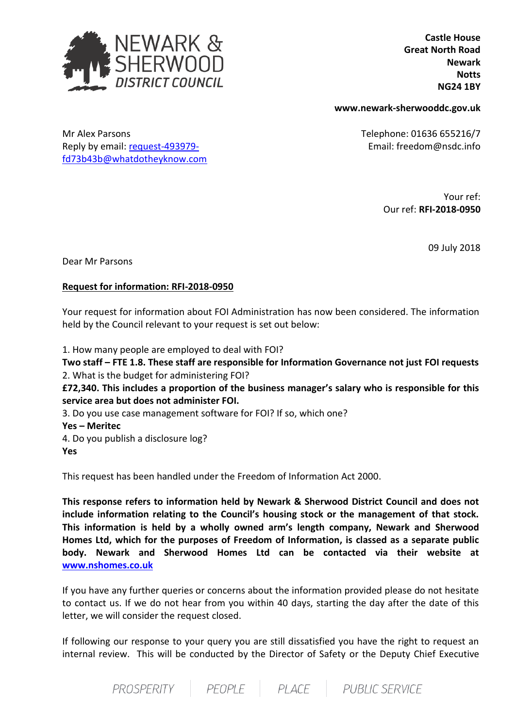

Reply by email: [request-493979](mailto:xxxxxxxxxxxxxxxxxxxxxxx@xxxxxxxxxxxxxx.xxx) [fd73b43b@whatdotheyknow.com](mailto:xxxxxxxxxxxxxxxxxxxxxxx@xxxxxxxxxxxxxx.xxx)

 **Castle House Great North Road Newark Notts NG24 1BY**

**www.newark-sherwooddc.gov.uk**

Mr Alex Parsons Telephone: 01636 655216/7 Email: freedom@nsdc.info

> Your ref: Our ref: **RFI-2018-0950**

> > 09 July 2018

Dear Mr Parsons

## **Request for information: RFI-2018-0950**

Your request for information about FOI Administration has now been considered. The information held by the Council relevant to your request is set out below:

1. How many people are employed to deal with FOI?

**Two staff – FTE 1.8. These staff are responsible for Information Governance not just FOI requests** 2. What is the budget for administering FOI?

**£72,340. This includes a proportion of the business manager's salary who is responsible for this service area but does not administer FOI.** 

3. Do you use case management software for FOI? If so, which one?

**Yes – Meritec**

4. Do you publish a disclosure log? **Yes**

This request has been handled under the Freedom of Information Act 2000.

**This response refers to information held by Newark & Sherwood District Council and does not include information relating to the Council's housing stock or the management of that stock. This information is held by a wholly owned arm's length company, Newark and Sherwood Homes Ltd, which for the purposes of Freedom of Information, is classed as a separate public body. Newark and Sherwood Homes Ltd can be contacted via their website at [www.nshomes.co.uk](http://www.nshomes.co.uk/)**

If you have any further queries or concerns about the information provided please do not hesitate to contact us. If we do not hear from you within 40 days, starting the day after the date of this letter, we will consider the request closed.

If following our response to your query you are still dissatisfied you have the right to request an internal review. This will be conducted by the Director of Safety or the Deputy Chief Executive